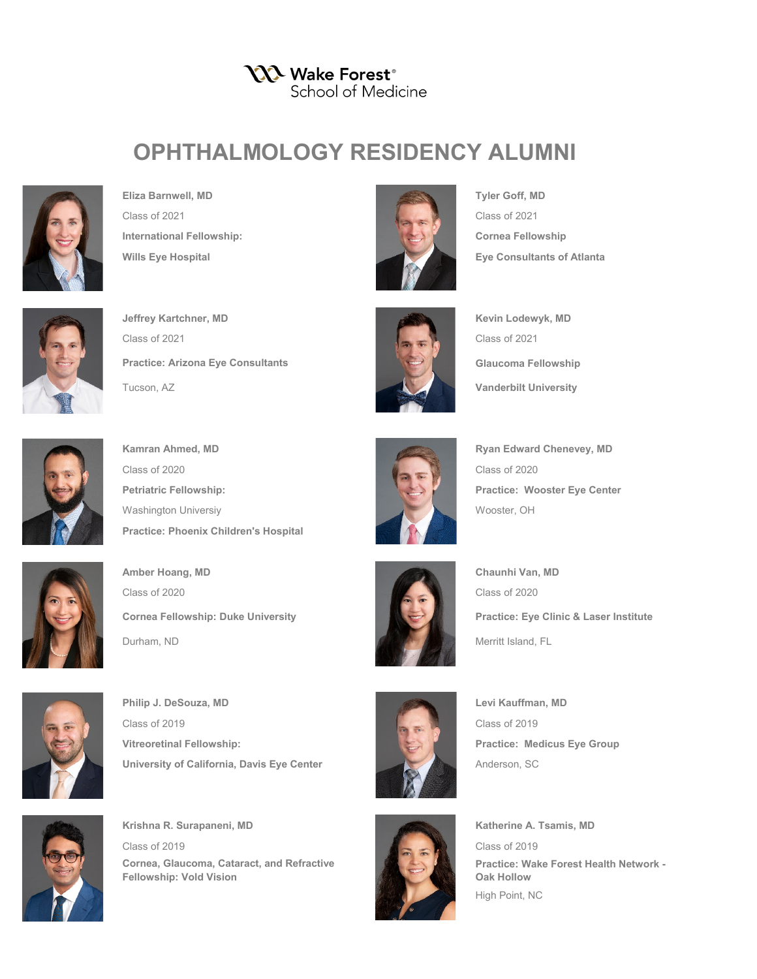**YXX** Wake Forest® School of Medicine

## **OPHTHALMOLOGY RESIDENCY ALUMNI**



**Eliza Barnwell, MD Tyler Goff, MD** Class of 2021 Class of 2021 **International Fellowship: Cornea Fellowship**



**Jeffrey Kartchner, MD Kevin Lodewyk, MD Kevin Lodewyk, MD** Class of 2021 Class of 2021 Tucson, AZ **Vanderbilt University Practice: Arizona Eye Consultants** 



Class of 2020 Class of 2020 **Petriatric Fellowship: Practice: Wooster Eye Center** Washington Universiy Wooster, OH **Practice: Phoenix Children's Hospital**



**Amber Hoang, MD Chaunhi Van, MD Chaunhi Van, MD** Class of 2020 Class of 2020 Durham, ND Merritt Island, FL **Cornea Fellowship: Duke University**



**Philip J. DeSouza, MD Levi Kauffman, MD** Class of 2019 Class of 2019 **Vitreoretinal Fellowship: Practice: Medicus Eye Group University of California, Davis Eye Center** Anderson, SC



**Krishna R. Surapaneni, MD Katherine A. Tsamis, MD Katherine A. Tsamis, MD** Class of 2019 Class of 2019 **Cornea, Glaucoma, Cataract, and Refractive Fellowship: Vold Vision**



Wills Eye Hospital **Exercise Exercise Structure Exercise Eye Consultants of Atlanta** 



**Glaucoma Fellowship**



**Kamran Ahmed, MD Ryan Edward Chenevey, MD Ryan Edward Chenevey, MD** 



**Practice: Eye Clinic & Laser Institute**





**Practice: Wake Forest Health Network - Oak Hollow** High Point, NC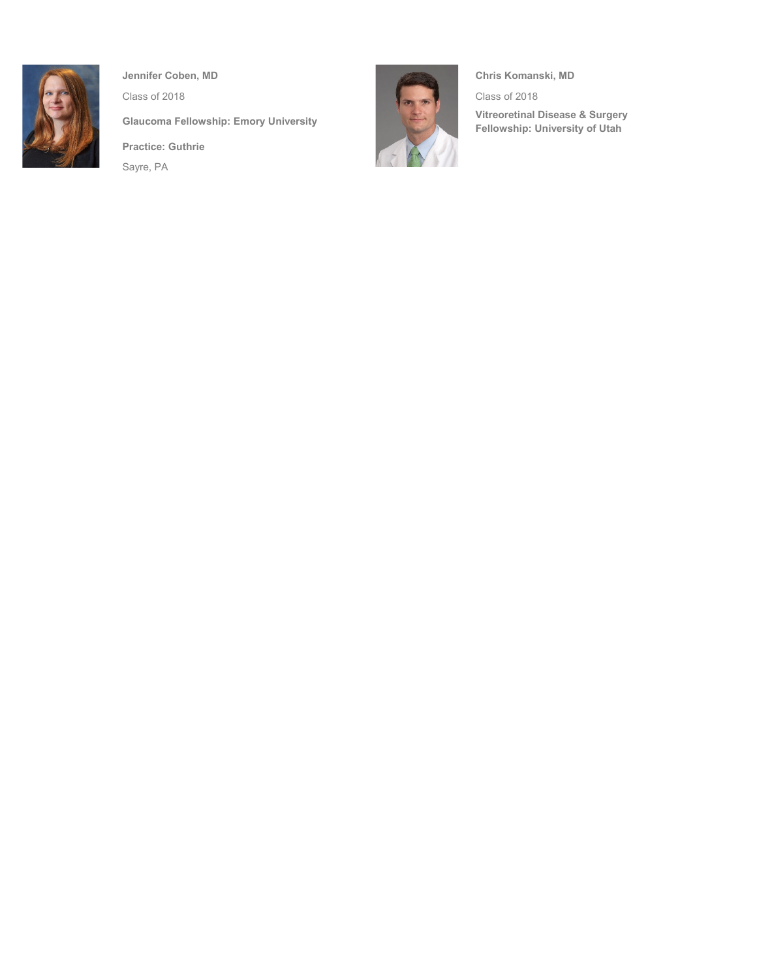

**Practice: Guthrie** Sayre, PA



**Glaucoma Fellowship: Emory University Vitreoretinal Disease & Surgery Fellowship: University of Utah**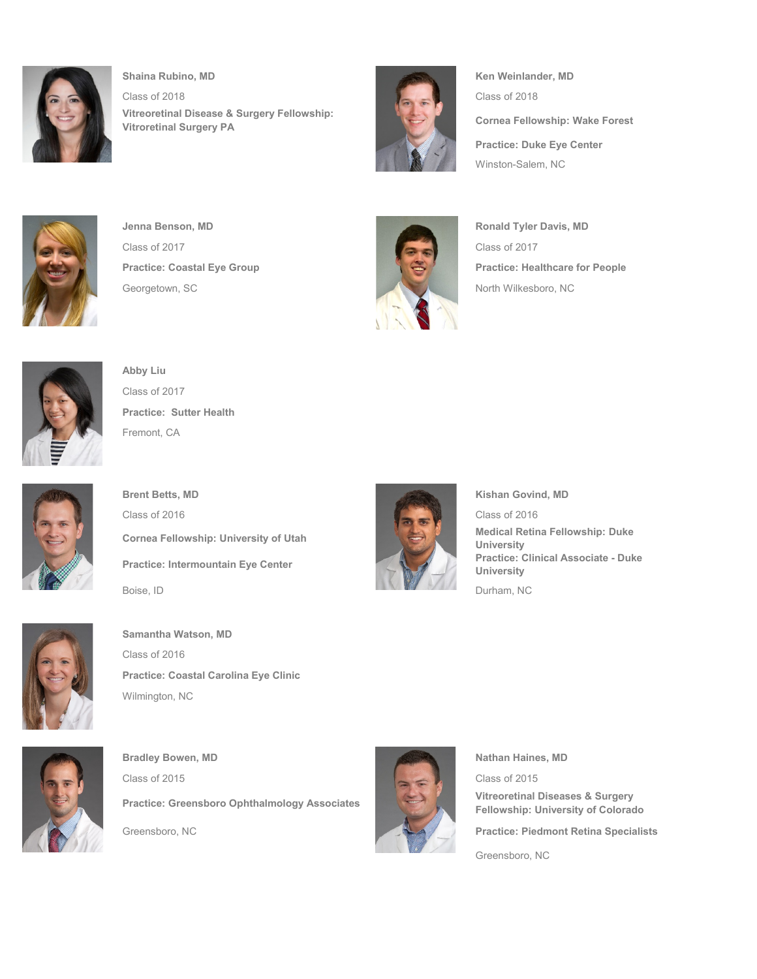

**Shaina Rubino, MD Ken Weinlander, MD Ken Weinlander, MD** Class of 2018 Class of 2018 **Vitreoretinal Disease & Surgery Fellowship: Vitroretinal Surgery PA**



**Cornea Fellowship: Wake Forest Practice: Duke Eye Center** Winston-Salem, NC



**Jenna Benson, MD Ronald Tyler Davis, MD Ronald Tyler Davis, MD** Class of 2017 Class of 2017 Georgetown, SC North Wilkesboro, NC



**Practice: Coastal Eye Group Practice: Healthcare for People** 



**Abby Liu** Class of 2017 **Practice: Sutter Health** Fremont, CA



**Brent Betts, MD Kishan Govind, MD** Class of 2016 Class of 2016 **Cornea Fellowship: University of Utah Medical Retina Fellowship: Duke Medical Retina Fellowship: Duke Practice: Intermountain Eye Center** Boise, ID Durham, NC



**Samantha Watson, MD** Class of 2016 **Practice: Coastal Carolina Eye Clinic** Wilmington, NC



**Bradley Bowen, MD Nathan Haines, MD Nathan Haines, MD Nathan Haines, MD** Class of 2015 Class of 2015 **Practice: Greensboro Ophthalmology Associates Contained Bullet and Surgery Practice: Greensboro Ophthalmology Associates** Greensboro, NC **Practice: Piedmont Retina Specialists**



**University**

**Fellowship: University of Colorado**

**University**

Greensboro, NC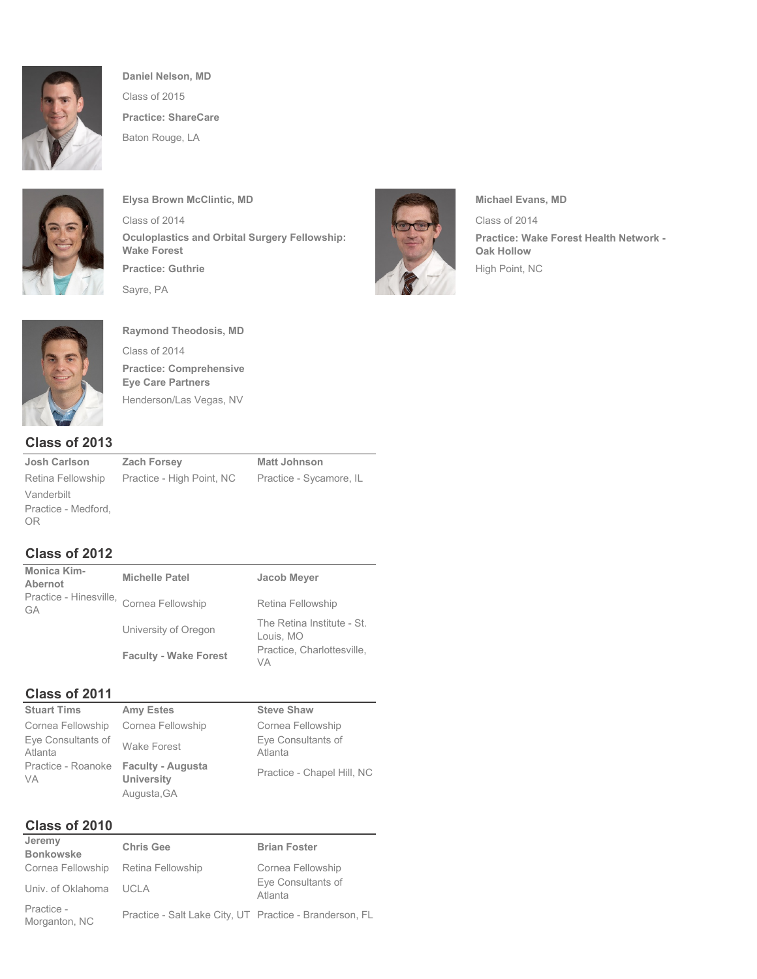

**Daniel Nelson, MD** Class of 2015 **Practice: ShareCare** Baton Rouge, LA



**Elysa Brown McClintic, MD Michael Evans, MD** Class of 2014 Class of 2014 **Practice: Guthrie** High Point, NC Sayre, PA **Oculoplastics and Orbital Surgery Fellowship: Wake Forest**



**Practice: Wake Forest Health Network - Oak Hollow**



**Raymond Theodosis, MD** Class of 2014 **Practice: Comprehensive Eye Care Partners** Henderson/Las Vegas, NV

#### **Class of 2013**

Vanderbilt Practice - Medford, OR

**Josh Carlson Zach Forsey Matt Johnson** Retina Fellowship Practice - High Point, NC Practice - Sycamore, IL

## **Class of 2012**

| Monica Kim-<br><b>Abernot</b>                         | <b>Michelle Patel</b>        | <b>Jacob Meyer</b>                      |
|-------------------------------------------------------|------------------------------|-----------------------------------------|
| Practice - Hinesville, Cornea Fellowship<br><b>GA</b> |                              | Retina Fellowship                       |
|                                                       | University of Oregon         | The Retina Institute - St.<br>Louis, MO |
|                                                       | <b>Faculty - Wake Forest</b> | Practice, Charlottesville,<br>VA        |

# **Class of 2011**<br>Stuart Tims

| <b>Stuart Tims</b>                                | <b>Amy Estes</b>                 | <b>Steve Shaw</b>             |
|---------------------------------------------------|----------------------------------|-------------------------------|
| Cornea Fellowship                                 | Cornea Fellowship                | Cornea Fellowship             |
| Eye Consultants of<br>Atlanta                     | <b>Wake Forest</b>               | Eye Consultants of<br>Atlanta |
| Practice - Roanoke Faculty - Augusta<br><b>VA</b> | <b>University</b><br>Augusta, GA | Practice - Chapel Hill, NC    |

## **Class of 2010**

| Jeremy<br><b>Bonkowske</b>          | <b>Chris Gee</b>                                        | <b>Brian Foster</b>           |
|-------------------------------------|---------------------------------------------------------|-------------------------------|
| Cornea Fellowship Retina Fellowship |                                                         | Cornea Fellowship             |
| Univ. of Oklahoma UCLA              |                                                         | Eye Consultants of<br>Atlanta |
| Practice -<br>Morganton, NC         | Practice - Salt Lake City, UT Practice - Branderson, FL |                               |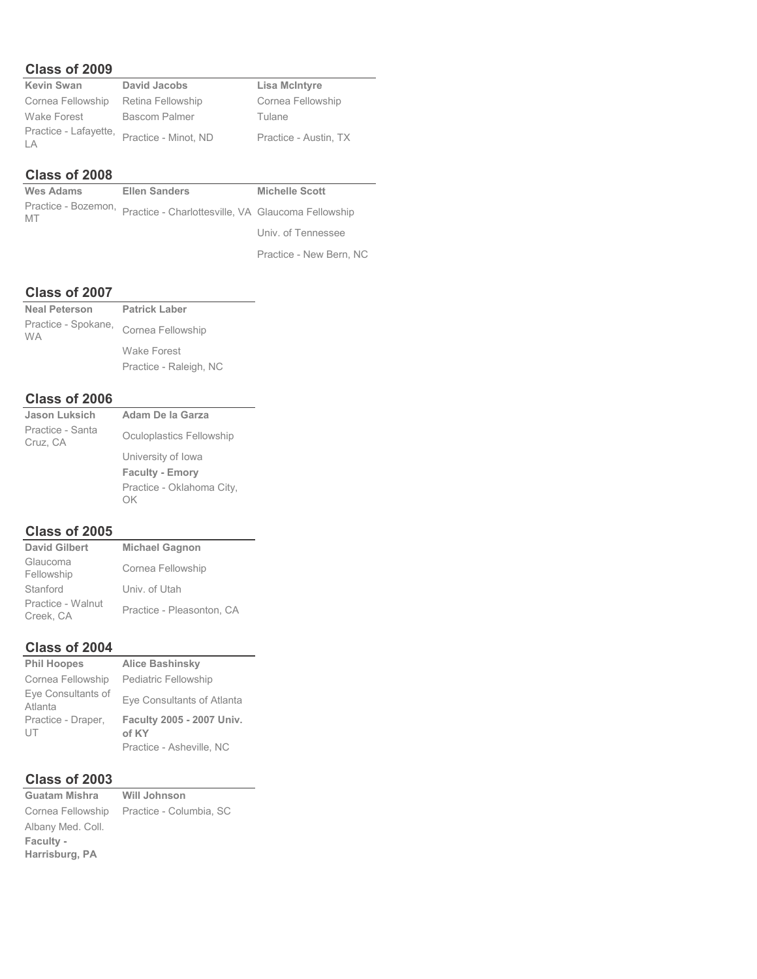#### **Class of 2009**

| <b>Kevin Swan</b>           | <b>David Jacobs</b>  | <b>Lisa McIntyre</b>  |
|-----------------------------|----------------------|-----------------------|
| Cornea Fellowship           | Retina Fellowship    | Cornea Fellowship     |
| Wake Forest                 | <b>Bascom Palmer</b> | Tulane                |
| Practice - Lafayette,<br>LA | Practice - Minot, ND | Practice - Austin, TX |

#### **Class of 2008**

| <b>Wes Adams</b> | <b>Ellen Sanders</b>                                                   | <b>Michelle Scott</b>   |
|------------------|------------------------------------------------------------------------|-------------------------|
|                  | Practice - Bozemon, Practice - Charlottesville, VA Glaucoma Fellowship |                         |
|                  |                                                                        | Univ. of Tennessee      |
|                  |                                                                        | Practice - New Bern, NC |

#### **Class of 2007**

| <b>Neal Peterson</b>             | <b>Patrick Laber</b>   |
|----------------------------------|------------------------|
| Practice - Spokane,<br><b>WA</b> | Cornea Fellowship      |
|                                  | <b>Wake Forest</b>     |
|                                  | Practice - Raleigh, NC |

#### **Class of 2006**

| <b>Jason Luksich</b>         | Adam De la Garza                |
|------------------------------|---------------------------------|
| Practice - Santa<br>Cruz, CA | Oculoplastics Fellowship        |
|                              | University of Iowa              |
|                              | <b>Faculty - Emory</b>          |
|                              | Practice - Oklahoma City,<br>ОK |
|                              |                                 |

#### **Class of 2005**

| <b>David Gilbert</b>           | <b>Michael Gagnon</b>     |
|--------------------------------|---------------------------|
| Glaucoma<br>Fellowship         | Cornea Fellowship         |
| Stanford                       | Univ. of Utah             |
| Practice - Walnut<br>Creek, CA | Practice - Pleasonton, CA |

#### **Class of 2004**

| <b>Phil Hoopes</b>            | <b>Alice Bashinsky</b>      |
|-------------------------------|-----------------------------|
| Cornea Fellowship             | <b>Pediatric Fellowship</b> |
| Eve Consultants of<br>Atlanta | Eye Consultants of Atlanta  |
| Practice - Draper,            | Faculty 2005 - 2007 Univ.   |
| UT                            | of KY                       |
|                               | Practice - Asheville, NC    |

#### **Class of 2003**

**Guatam Mishra Will Johnson** Cornea Fellowship Practice - Columbia, SC Albany Med. Coll. **Faculty - Harrisburg, PA**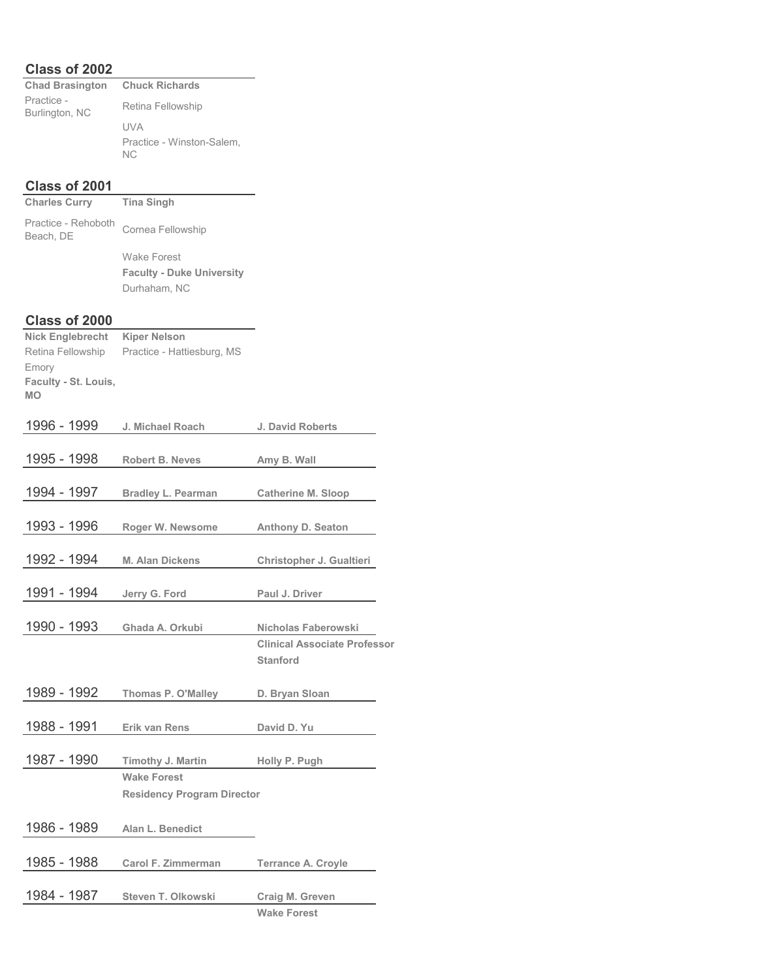#### **Class of 2002**

| <b>Chad Brasington Chuck Richards</b> |                                  |
|---------------------------------------|----------------------------------|
| Practice -<br>Burlington, NC          | Retina Fellowship                |
|                                       | UVA                              |
|                                       | Practice - Winston-Salem,<br>NC. |

#### **Class of 2001**

| Charles Curry                    | Tina Singh                       |
|----------------------------------|----------------------------------|
| Practice - Rehoboth<br>Beach, DE | Cornea Fellowship                |
|                                  | Wake Forest                      |
|                                  | <b>Faculty - Duke University</b> |
|                                  | Durhaham, NC                     |
|                                  |                                  |

#### **Class of 2000**

| <b>Nick Englebrecht</b> | <b>Kiper Nelson</b>               |                                     |
|-------------------------|-----------------------------------|-------------------------------------|
| Retina Fellowship       | Practice - Hattiesburg, MS        |                                     |
| Emory                   |                                   |                                     |
| Faculty - St. Louis,    |                                   |                                     |
| <b>MO</b>               |                                   |                                     |
| 1996 - 1999             | J. Michael Roach                  | J. David Roberts                    |
|                         |                                   |                                     |
| 1995 - 1998             | <b>Robert B. Neves</b>            | Amy B. Wall                         |
|                         |                                   |                                     |
| 1994 - 1997             | <b>Bradley L. Pearman</b>         | <b>Catherine M. Sloop</b>           |
|                         |                                   |                                     |
| 1993 - 1996             | Roger W. Newsome                  | <b>Anthony D. Seaton</b>            |
|                         |                                   |                                     |
| 1992 - 1994             | <b>M. Alan Dickens</b>            | Christopher J. Gualtieri            |
|                         |                                   |                                     |
| 1991 - 1994             | Jerry G. Ford                     | Paul J. Driver                      |
|                         |                                   |                                     |
| 1990 - 1993             | Ghada A. Orkubi                   | Nicholas Faberowski                 |
|                         |                                   | <b>Clinical Associate Professor</b> |
|                         |                                   | <b>Stanford</b>                     |
|                         |                                   |                                     |
| 1989 - 1992             | Thomas P. O'Malley                | D. Bryan Sloan                      |
| 1988 - 1991             |                                   |                                     |
|                         | Erik van Rens                     | David D. Yu                         |
| 1987 - 1990             | Timothy J. Martin                 | Holly P. Pugh                       |
|                         | <b>Wake Forest</b>                |                                     |
|                         | <b>Residency Program Director</b> |                                     |
|                         |                                   |                                     |
| 1986 - 1989             | Alan L. Benedict                  |                                     |
|                         |                                   |                                     |
| 1985 - 1988             | Carol F. Zimmerman                | <b>Terrance A. Croyle</b>           |
|                         |                                   |                                     |
| 1984 - 1987             | Steven T. Olkowski                | Craig M. Greven                     |
|                         |                                   | <b>Wake Forest</b>                  |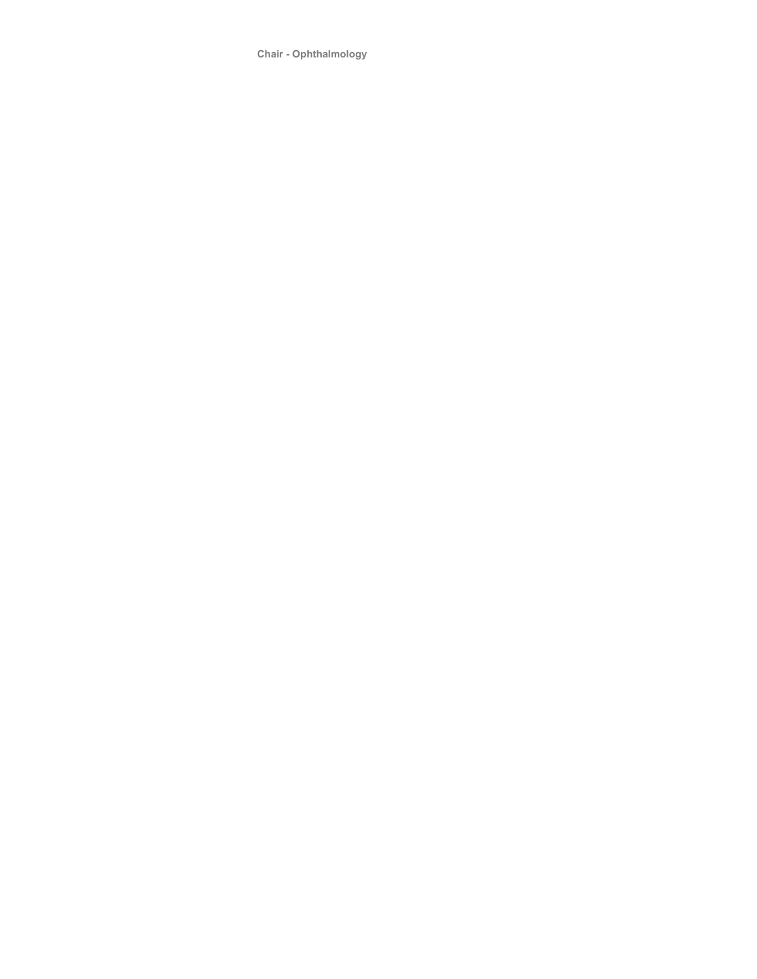**Chair - Ophthalmology**